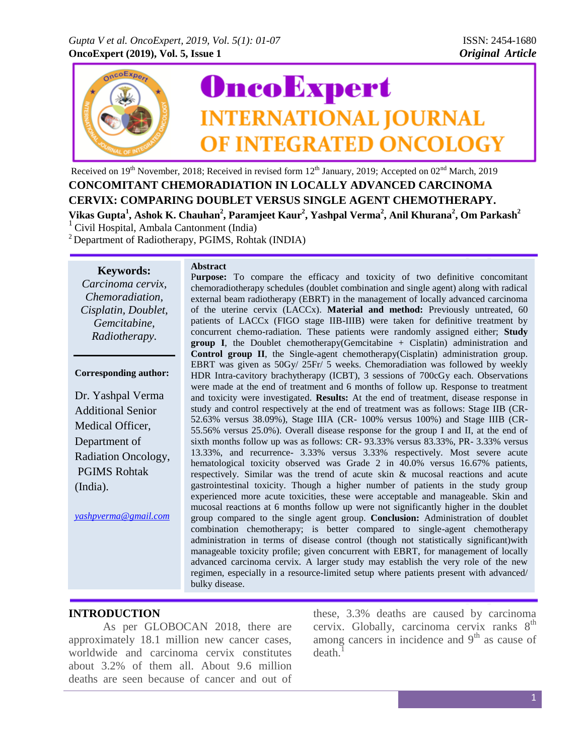

Received on 19<sup>th</sup> November, 2018; Received in revised form 12<sup>th</sup> January, 2019; Accepted on 02<sup>nd</sup> March, 2019 **CONCOMITANT CHEMORADIATION IN LOCALLY ADVANCED CARCINOMA CERVIX: COMPARING DOUBLET VERSUS SINGLE AGENT CHEMOTHERAPY. Vikas Gupta<sup>1</sup> , Ashok K. Chauhan<sup>2</sup> , Paramjeet Kaur<sup>2</sup> , Yashpal Verma<sup>2</sup> , Anil Khurana<sup>2</sup> , Om Parkash<sup>2</sup>**  $1$  Civil Hospital, Ambala Cantonment (India)

 $2$  Department of Radiotherapy, PGIMS, Rohtak (INDIA)

**Keywords:**

*Carcinoma cervix, Chemoradiation, Cisplatin, Doublet, Gemcitabine, Radiotherapy.*

#### **Corresponding author:**

Dr. Yashpal Verma Additional Senior Medical Officer, Department of Radiation Oncology, PGIMS Rohtak (India).

*[yashpverma@gmail.com](mailto:yashpverma@gmail.com)*

#### **Abstract**

Purpose: To compare the efficacy and toxicity of two definitive concomitant chemoradiotherapy schedules (doublet combination and single agent) along with radical external beam radiotherapy (EBRT) in the management of locally advanced carcinoma of the uterine cervix (LACCx). **Material and method:** Previously untreated, 60 patients of LACCx (FIGO stage IIB-IIIB) were taken for definitive treatment by concurrent chemo-radiation. These patients were randomly assigned either; **Study group I**, the Doublet chemotherapy(Gemcitabine + Cisplatin) administration and **Control group II**, the Single-agent chemotherapy(Cisplatin) administration group. EBRT was given as 50Gy/ 25Fr/ 5 weeks. Chemoradiation was followed by weekly HDR Intra-cavitory brachytherapy (ICBT), 3 sessions of 700cGy each. Observations were made at the end of treatment and 6 months of follow up. Response to treatment and toxicity were investigated. **Results:** At the end of treatment, disease response in study and control respectively at the end of treatment was as follows: Stage IIB (CR-52.63% versus 38.09%), Stage IIIA (CR- 100% versus 100%) and Stage IIIB (CR-55.56% versus 25.0%). Overall disease response for the group I and II, at the end of sixth months follow up was as follows: CR- 93.33% versus 83.33%, PR- 3.33% versus 13.33%, and recurrence- 3.33% versus 3.33% respectively. Most severe acute hematological toxicity observed was Grade 2 in 40.0% versus 16.67% patients, respectively. Similar was the trend of acute skin & mucosal reactions and acute gastrointestinal toxicity. Though a higher number of patients in the study group experienced more acute toxicities, these were acceptable and manageable. Skin and mucosal reactions at 6 months follow up were not significantly higher in the doublet group compared to the single agent group. **Conclusion:** Administration of doublet combination chemotherapy; is better compared to single-agent chemotherapy administration in terms of disease control (though not statistically significant)with manageable toxicity profile; given concurrent with EBRT, for management of locally advanced carcinoma cervix. A larger study may establish the very role of the new regimen, especially in a resource-limited setup where patients present with advanced/ bulky disease.

## **INTRODUCTION**

As per GLOBOCAN 2018, there are approximately 18.1 million new cancer cases, worldwide and carcinoma cervix constitutes about 3.2% of them all. About 9.6 million deaths are seen because of cancer and out of

these, 3.3% deaths are caused by carcinoma cervix. Globally, carcinoma cervix ranks  $8<sup>th</sup>$ among cancers in incidence and  $9<sup>th</sup>$  as cause of death.<sup>1</sup>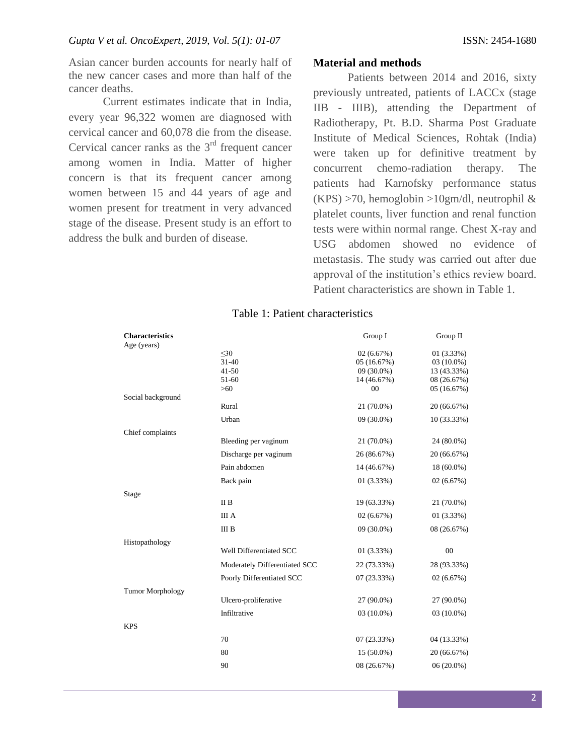Asian cancer burden accounts for nearly half of the new cancer cases and more than half of the cancer deaths.

Current estimates indicate that in India, every year 96,322 women are diagnosed with cervical cancer and 60,078 die from the disease. Cervical cancer ranks as the  $3<sup>rd</sup>$  frequent cancer among women in India. Matter of higher concern is that its frequent cancer among women between 15 and 44 years of age and women present for treatment in very advanced stage of the disease. Present study is an effort to address the bulk and burden of disease.

### **Material and methods**

Patients between 2014 and 2016, sixty previously untreated, patients of LACCx (stage IIB - IIIB), attending the Department of Radiotherapy, Pt. B.D. Sharma Post Graduate Institute of Medical Sciences, Rohtak (India) were taken up for definitive treatment by concurrent chemo-radiation therapy. The patients had Karnofsky performance status  $(KPS) > 70$ , hemoglobin  $>10$ gm/dl, neutrophil & platelet counts, liver function and renal function tests were within normal range. Chest X-ray and USG abdomen showed no evidence of metastasis. The study was carried out after due approval of the institution's ethics review board. Patient characteristics are shown in Table 1.

## Table 1: Patient characteristics

| <b>Characteristics</b>  |                               | Group I                     | Group II                  |
|-------------------------|-------------------------------|-----------------------------|---------------------------|
| Age (years)             |                               |                             |                           |
|                         | $30$                          | 02(6.67%)                   | 01(3.33%)                 |
|                         | $31 - 40$<br>$41 - 50$        | 05 (16.67%)<br>$09(30.0\%)$ | 03 (10.0%)<br>13 (43.33%) |
|                         | 51-60                         | 14 (46.67%)                 | 08 (26.67%)               |
|                         | $>60$                         | 00                          | 05(16.67%)                |
| Social background       |                               |                             |                           |
|                         | Rural                         | 21 (70.0%)                  | 20 (66.67%)               |
|                         | Urban                         | 09 (30.0%)                  | 10 (33.33%)               |
| Chief complaints        |                               |                             |                           |
|                         | Bleeding per vaginum          | 21 (70.0%)                  | 24 (80.0%)                |
|                         | Discharge per vaginum         | 26 (86.67%)                 | 20 (66.67%)               |
|                         | Pain abdomen                  | 14 (46.67%)                 | 18 (60.0%)                |
|                         | Back pain                     | $01(3.33\%)$                | 02 (6.67%)                |
| Stage                   |                               |                             |                           |
|                         | II B                          | 19 (63.33%)                 | 21 (70.0%)                |
|                         | <b>III</b> A                  | 02(6.67%)                   | 01(3.33%)                 |
|                         | $\rm III$ B                   | 09 (30.0%)                  | 08 (26.67%)               |
| Histopathology          |                               |                             |                           |
|                         | Well Differentiated SCC       | 01(3.33%)                   | 00                        |
|                         | Moderately Differentiated SCC | 22 (73.33%)                 | 28 (93.33%)               |
|                         | Poorly Differentiated SCC     | 07 (23.33%)                 | 02(6.67%)                 |
| <b>Tumor Morphology</b> |                               |                             |                           |
|                         | Ulcero-proliferative          | 27 (90.0%)                  | 27 (90.0%)                |
|                         | Infiltrative                  | 03 (10.0%)                  | 03 (10.0%)                |
| <b>KPS</b>              |                               |                             |                           |
|                         | 70                            | 07(23.33%)                  | 04 (13.33%)               |
|                         | 80                            | $15(50.0\%)$                | 20 (66.67%)               |
|                         | 90                            | 08 (26.67%)                 | $06(20.0\%)$              |
|                         |                               |                             |                           |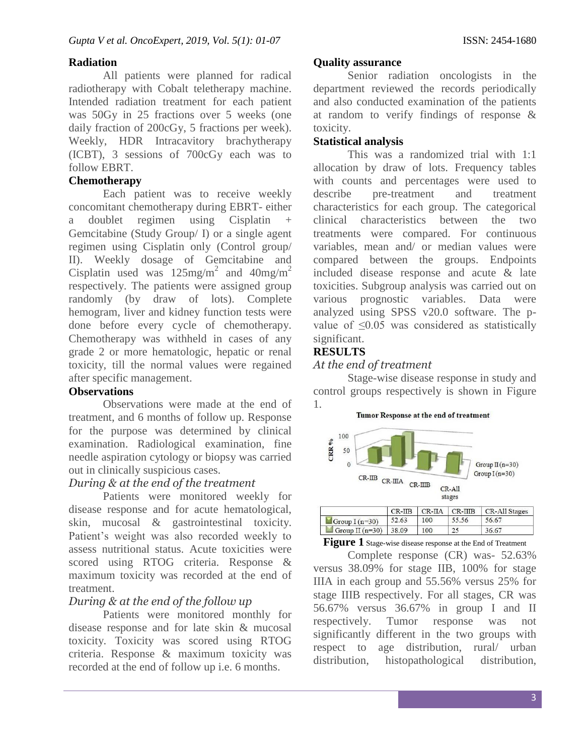# **Radiation**

All patients were planned for radical radiotherapy with Cobalt teletherapy machine. Intended radiation treatment for each patient was 50Gy in 25 fractions over 5 weeks (one daily fraction of 200cGy, 5 fractions per week). Weekly, HDR Intracavitory brachytherapy (ICBT), 3 sessions of 700cGy each was to follow EBRT.

## **Chemotherapy**

Each patient was to receive weekly concomitant chemotherapy during EBRT- either a doublet regimen using Cisplatin + Gemcitabine (Study Group/ I) or a single agent regimen using Cisplatin only (Control group/ II). Weekly dosage of Gemcitabine and Cisplatin used was  $125$ mg/m<sup>2</sup> and  $40$ mg/m<sup>2</sup> respectively. The patients were assigned group randomly (by draw of lots). Complete hemogram, liver and kidney function tests were done before every cycle of chemotherapy. Chemotherapy was withheld in cases of any grade 2 or more hematologic, hepatic or renal toxicity, till the normal values were regained after specific management.

## **Observations**

Observations were made at the end of treatment, and 6 months of follow up. Response for the purpose was determined by clinical examination. Radiological examination, fine needle aspiration cytology or biopsy was carried out in clinically suspicious cases.

# *During & at the end of the treatment*

Patients were monitored weekly for disease response and for acute hematological, skin, mucosal & gastrointestinal toxicity. Patient's weight was also recorded weekly to assess nutritional status. Acute toxicities were scored using RTOG criteria. Response & maximum toxicity was recorded at the end of treatment.

# *During & at the end of the follow up*

Patients were monitored monthly for disease response and for late skin & mucosal toxicity. Toxicity was scored using RTOG criteria. Response & maximum toxicity was recorded at the end of follow up i.e. 6 months.

## **Quality assurance**

Senior radiation oncologists in the department reviewed the records periodically and also conducted examination of the patients at random to verify findings of response & toxicity.

## **Statistical analysis**

This was a randomized trial with 1:1 allocation by draw of lots. Frequency tables with counts and percentages were used to describe pre-treatment and treatment characteristics for each group. The categorical clinical characteristics between the two treatments were compared. For continuous variables, mean and/ or median values were compared between the groups. Endpoints included disease response and acute & late toxicities. Subgroup analysis was carried out on various prognostic variables. Data were analyzed using SPSS v20.0 software. The pvalue of ≤0.05 was considered as statistically significant.

## **RESULTS**

## *At the end of treatment*

Stage-wise disease response in study and control groups respectively is shown in Figure 1.

#### Tumor Response at the end of treatment



|                         | $\sim$ $\sim$ $\sim$ $\sim$ |     | $\mathcal{L}$ | CITTING CO |
|-------------------------|-----------------------------|-----|---------------|------------|
| Group $I(n=30)$         | 52.63                       | 100 | 55.56         | 56.67      |
| Group II $(n=30)$ 38.09 |                             | 100 |               | 36.67      |

### **Figure 1** Stage-wise disease response at the End of Treatment

Complete response (CR) was- 52.63% versus 38.09% for stage IIB, 100% for stage IIIA in each group and 55.56% versus 25% for stage IIIB respectively. For all stages, CR was 56.67% versus 36.67% in group I and II respectively. Tumor response was not significantly different in the two groups with respect to age distribution, rural/ urban distribution, histopathological distribution,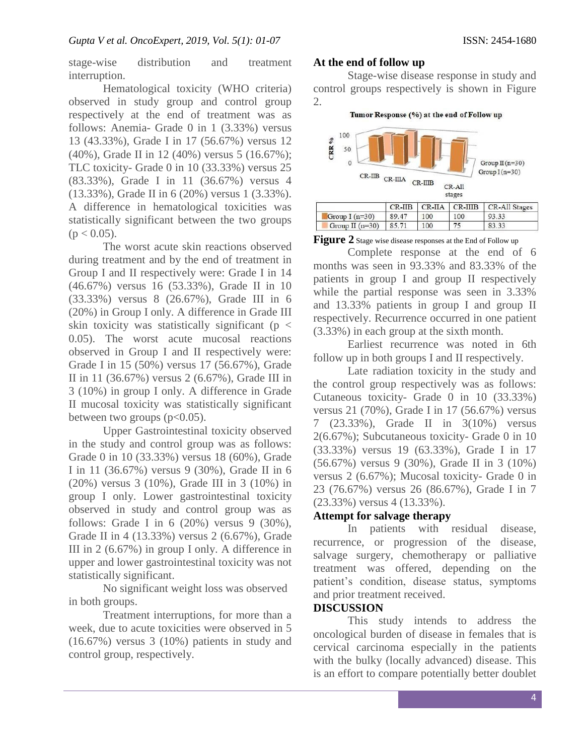stage-wise distribution and treatment interruption.

Hematological toxicity (WHO criteria) observed in study group and control group respectively at the end of treatment was as follows: Anemia- Grade 0 in 1 (3.33%) versus 13 (43.33%), Grade I in 17 (56.67%) versus 12 (40%), Grade II in 12 (40%) versus 5 (16.67%); TLC toxicity- Grade 0 in 10 (33.33%) versus 25 (83.33%), Grade I in 11 (36.67%) versus 4 (13.33%), Grade II in 6 (20%) versus 1 (3.33%). A difference in hematological toxicities was statistically significant between the two groups  $(p < 0.05)$ .

The worst acute skin reactions observed during treatment and by the end of treatment in Group I and II respectively were: Grade I in 14 (46.67%) versus 16 (53.33%), Grade II in 10 (33.33%) versus 8 (26.67%), Grade III in 6 (20%) in Group I only. A difference in Grade III skin toxicity was statistically significant ( $p <$ 0.05). The worst acute mucosal reactions observed in Group I and II respectively were: Grade I in 15 (50%) versus 17 (56.67%), Grade II in 11 (36.67%) versus 2 (6.67%), Grade III in 3 (10%) in group I only. A difference in Grade II mucosal toxicity was statistically significant between two groups  $(p<0.05)$ .

Upper Gastrointestinal toxicity observed in the study and control group was as follows: Grade 0 in 10 (33.33%) versus 18 (60%), Grade I in 11 (36.67%) versus 9 (30%), Grade II in 6 (20%) versus 3 (10%), Grade III in 3 (10%) in group I only. Lower gastrointestinal toxicity observed in study and control group was as follows: Grade I in  $6$  (20%) versus 9 (30%), Grade II in 4 (13.33%) versus 2 (6.67%), Grade III in 2 (6.67%) in group I only. A difference in upper and lower gastrointestinal toxicity was not statistically significant.

No significant weight loss was observed in both groups.

Treatment interruptions, for more than a week, due to acute toxicities were observed in 5 (16.67%) versus 3 (10%) patients in study and control group, respectively.

### **At the end of follow up**

Stage-wise disease response in study and control groups respectively is shown in Figure 2.

Tumor Response (%) at the end of Follow up



**Figure 2** Stage wise disease responses at the End of Follow up

Complete response at the end of 6 months was seen in 93.33% and 83.33% of the patients in group I and group II respectively while the partial response was seen in 3.33% and 13.33% patients in group I and group II respectively. Recurrence occurred in one patient (3.33%) in each group at the sixth month.

Earliest recurrence was noted in 6th follow up in both groups I and II respectively.

Late radiation toxicity in the study and the control group respectively was as follows: Cutaneous toxicity- Grade 0 in 10 (33.33%) versus 21 (70%), Grade I in 17 (56.67%) versus 7 (23.33%), Grade II in 3(10%) versus 2(6.67%); Subcutaneous toxicity- Grade 0 in 10 (33.33%) versus 19 (63.33%), Grade I in 17 (56.67%) versus 9 (30%), Grade II in 3 (10%) versus 2 (6.67%); Mucosal toxicity- Grade 0 in 23 (76.67%) versus 26 (86.67%), Grade I in 7 (23.33%) versus 4 (13.33%).

## **Attempt for salvage therapy**

In patients with residual disease, recurrence, or progression of the disease, salvage surgery, chemotherapy or palliative treatment was offered, depending on the patient's condition, disease status, symptoms and prior treatment received.

## **DISCUSSION**

This study intends to address the oncological burden of disease in females that is cervical carcinoma especially in the patients with the bulky (locally advanced) disease. This is an effort to compare potentially better doublet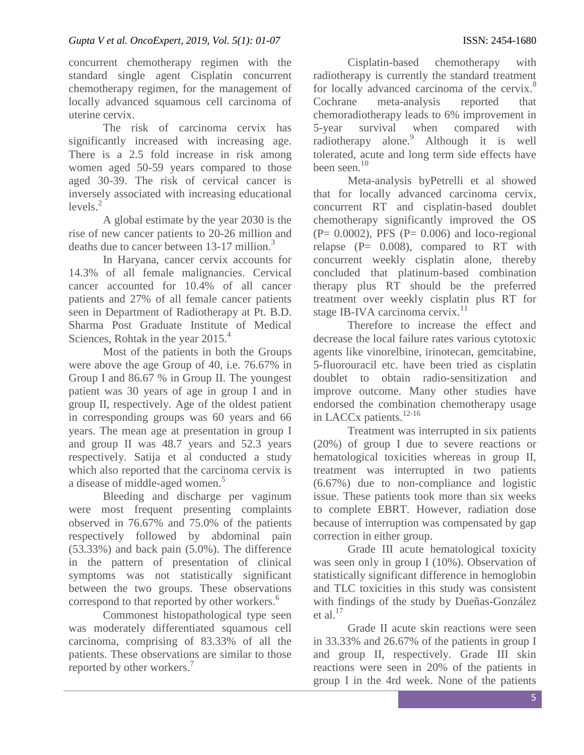concurrent chemotherapy regimen with the standard single agent Cisplatin concurrent chemotherapy regimen, for the management of locally advanced squamous cell carcinoma of uterine cervix.

The risk of carcinoma cervix has significantly increased with increasing age. There is a 2.5 fold increase in risk among women aged 50-59 years compared to those aged 30-39. The risk of cervical cancer is inversely associated with increasing educational  $levels<sup>2</sup>$ 

A global estimate by the year 2030 is the rise of new cancer patients to 20-26 million and deaths due to cancer between 13-17 million.<sup>3</sup>

In Haryana, cancer cervix accounts for 14.3% of all female malignancies. Cervical cancer accounted for 10.4% of all cancer patients and 27% of all female cancer patients seen in Department of Radiotherapy at Pt. B.D. Sharma Post Graduate Institute of Medical Sciences, Rohtak in the year 2015.<sup>4</sup>

Most of the patients in both the Groups were above the age Group of 40, i.e. 76.67% in Group I and 86.67 % in Group II. The youngest patient was 30 years of age in group I and in group II, respectively. Age of the oldest patient in corresponding groups was 60 years and 66 years. The mean age at presentation in group I and group II was 48.7 years and 52.3 years respectively. Satija et al conducted a study which also reported that the carcinoma cervix is a disease of middle-aged women.<sup>5</sup>

Bleeding and discharge per vaginum were most frequent presenting complaints observed in 76.67% and 75.0% of the patients respectively followed by abdominal pain (53.33%) and back pain (5.0%). The difference in the pattern of presentation of clinical symptoms was not statistically significant between the two groups. These observations correspond to that reported by other workers.<sup>6</sup>

Commonest histopathological type seen was moderately differentiated squamous cell carcinoma, comprising of 83.33% of all the patients. These observations are similar to those reported by other workers.<sup>7</sup>

Cisplatin-based chemotherapy with radiotherapy is currently the standard treatment for locally advanced carcinoma of the cervix.<sup>8</sup> Cochrane meta-analysis reported that chemoradiotherapy leads to 6% improvement in 5-year survival when compared with radiotherapy alone.<sup>9</sup> Although it is well tolerated, acute and long term side effects have been seen. $10<sup>10</sup>$ 

Meta-analysis byPetrelli et al showed that for locally advanced carcinoma cervix, concurrent RT and cisplatin-based doublet chemotherapy significantly improved the OS  $(P= 0.0002)$ , PFS  $(P= 0.006)$  and loco-regional relapse  $(P= 0.008)$ , compared to RT with concurrent weekly cisplatin alone, thereby concluded that platinum-based combination therapy plus RT should be the preferred treatment over weekly cisplatin plus RT for stage IB-IVA carcinoma cervix. $^{11}$ 

Therefore to increase the effect and decrease the local failure rates various cytotoxic agents like vinorelbine, irinotecan, gemcitabine, 5-fluorouracil etc. have been tried as cisplatin doublet to obtain radio-sensitization and improve outcome. Many other studies have endorsed the combination chemotherapy usage in LACCx patients. $12-16$ 

Treatment was interrupted in six patients (20%) of group I due to severe reactions or hematological toxicities whereas in group II, treatment was interrupted in two patients (6.67%) due to non-compliance and logistic issue. These patients took more than six weeks to complete EBRT. However, radiation dose because of interruption was compensated by gap correction in either group.

Grade III acute hematological toxicity was seen only in group I (10%). Observation of statistically significant difference in hemoglobin and TLC toxicities in this study was consistent with findings of the study by Dueñas-González et al. $17$ 

Grade II acute skin reactions were seen in 33.33% and 26.67% of the patients in group I and group II, respectively. Grade III skin reactions were seen in 20% of the patients in group I in the 4rd week. None of the patients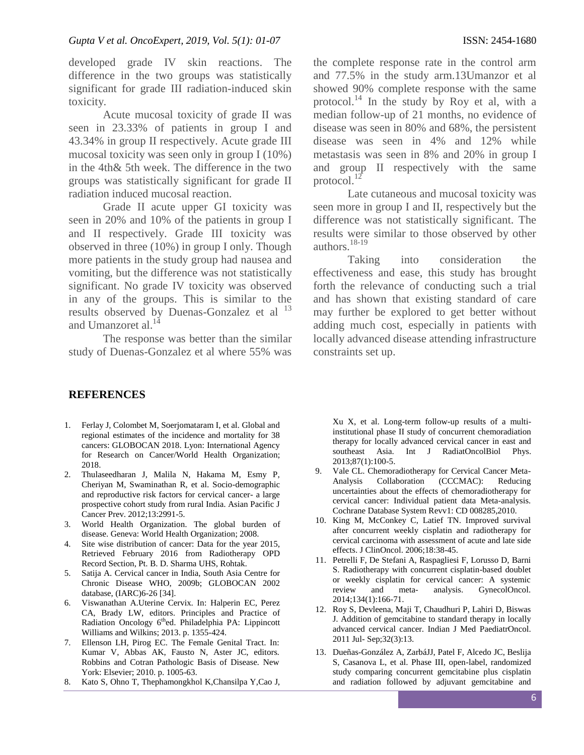developed grade IV skin reactions. The difference in the two groups was statistically significant for grade III radiation-induced skin toxicity.

Acute mucosal toxicity of grade II was seen in 23.33% of patients in group I and 43.34% in group II respectively. Acute grade III mucosal toxicity was seen only in group I (10%) in the 4th& 5th week. The difference in the two groups was statistically significant for grade II radiation induced mucosal reaction.

Grade II acute upper GI toxicity was seen in 20% and 10% of the patients in group I and II respectively. Grade III toxicity was observed in three (10%) in group I only. Though more patients in the study group had nausea and vomiting, but the difference was not statistically significant. No grade IV toxicity was observed in any of the groups. This is similar to the results observed by Duenas-Gonzalez et al  $^{13}$ and Umanzoret al.<sup>14</sup>

The response was better than the similar study of Duenas-Gonzalez et al where 55% was

## **REFERENCES**

- 1. Ferlay J, Colombet M, Soerjomataram I, et al. Global and regional estimates of the incidence and mortality for 38 cancers: GLOBOCAN 2018. Lyon: International Agency for Research on Cancer/World Health Organization; 2018.
- 2. Thulaseedharan J, Malila N, Hakama M, Esmy P, Cheriyan M, Swaminathan R, et al. Socio-demographic and reproductive risk factors for cervical cancer- a large prospective cohort study from rural India. Asian Pacific J Cancer Prev. 2012;13:2991-5.
- 3. World Health Organization. The global burden of disease. Geneva: World Health Organization; 2008.
- 4. Site wise distribution of cancer: Data for the year 2015, Retrieved February 2016 from Radiotherapy OPD Record Section, Pt. B. D. Sharma UHS, Rohtak.
- 5. Satija A. Cervical cancer in India, South Asia Centre for Chronic Disease WHO, 2009b; GLOBOCAN 2002 database, (IARC)6-26 [34].
- 6. Viswanathan A.Uterine Cervix. In: Halperin EC, Perez CA, Brady LW, editors. Principles and Practice of Radiation Oncology 6<sup>th</sup>ed. Philadelphia PA: Lippincott Williams and Wilkins; 2013. p. 1355-424.
- 7. Ellenson LH, Pirog EC. The Female Genital Tract. In: Kumar V, Abbas AK, Fausto N, Aster JC, editors. Robbins and Cotran Pathologic Basis of Disease. New York: Elsevier; 2010. p. 1005-63.
- 8. Kato S, Ohno T, Thephamongkhol K,Chansilpa Y,Cao J,

the complete response rate in the control arm and 77.5% in the study arm.13Umanzor et al showed 90% complete response with the same protocol.<sup>14</sup> In the study by Roy et al, with a median follow-up of 21 months, no evidence of disease was seen in 80% and 68%, the persistent disease was seen in 4% and 12% while metastasis was seen in 8% and 20% in group I and group II respectively with the same protocol. $^{12}$ 

Late cutaneous and mucosal toxicity was seen more in group I and II, respectively but the difference was not statistically significant. The results were similar to those observed by other authors. $18-19$ 

Taking into consideration the effectiveness and ease, this study has brought forth the relevance of conducting such a trial and has shown that existing standard of care may further be explored to get better without adding much cost, especially in patients with locally advanced disease attending infrastructure constraints set up.

Xu X, et al. Long-term follow-up results of a multiinstitutional phase II study of concurrent chemoradiation therapy for locally advanced cervical cancer in east and southeast Asia. Int J RadiatOncolBiol Phys. 2013;87(1):100-5.

- 9. Vale CL. Chemoradiotherapy for Cervical Cancer Meta-Analysis Collaboration (CCCMAC): Reducing uncertainties about the effects of chemoradiotherapy for cervical cancer: Individual patient data Meta-analysis. Cochrane Database System Revv1: CD 008285,2010.
- 10. King M, McConkey C, Latief TN. Improved survival after concurrent weekly cisplatin and radiotherapy for cervical carcinoma with assessment of acute and late side effects. J ClinOncol. 2006;18:38-45.
- 11. Petrelli F, De Stefani A, Raspagliesi F, Lorusso D, Barni S. Radiotherapy with concurrent cisplatin-based doublet or weekly cisplatin for cervical cancer: A systemic review and meta- analysis. GynecolOncol. 2014;134(1):166-71.
- 12. Roy S, Devleena, Maji T, Chaudhuri P, Lahiri D, Biswas J. Addition of gemcitabine to standard therapy in locally advanced cervical cancer. Indian J Med PaediatrOncol. 2011 Jul- Sep;32(3):13.
- 13. Dueñas-González A, ZarbáJJ, Patel F, Alcedo JC, Beslija S, Casanova L, et al. Phase III, open-label, randomized study comparing concurrent gemcitabine plus cisplatin and radiation followed by adjuvant gemcitabine and